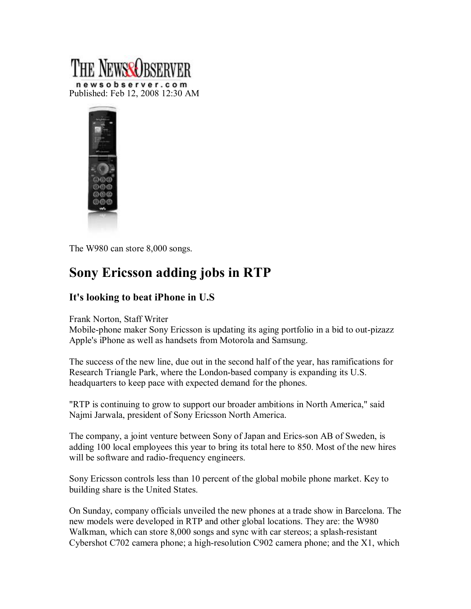



The W980 can store 8,000 songs.

## **Sony Ericsson adding jobs in RTP**

## **It's looking to beat iPhone in U.S**

Frank Norton, Staff Writer

Mobile-phone maker Sony Ericsson is updating its aging portfolio in a bid to out-pizazz Apple's iPhone as well as handsets from Motorola and Samsung.

The success of the new line, due out in the second half of the year, has ramifications for Research Triangle Park, where the London-based company is expanding its U.S. headquarters to keep pace with expected demand for the phones.

"RTP is continuing to grow to support our broader ambitions in North America," said Najmi Jarwala, president of Sony Ericsson North America.

The company, a joint venture between Sony of Japan and Erics-son AB of Sweden, is adding 100 local employees this year to bring its total here to 850. Most of the new hires will be software and radio-frequency engineers.

Sony Ericsson controls less than 10 percent of the global mobile phone market. Key to building share is the United States.

On Sunday, company officials unveiled the new phones at a trade show in Barcelona. The new models were developed in RTP and other global locations. They are: the W980 Walkman, which can store 8,000 songs and sync with car stereos; a splash-resistant Cybershot C702 camera phone; a high-resolution C902 camera phone; and the  $X1$ , which